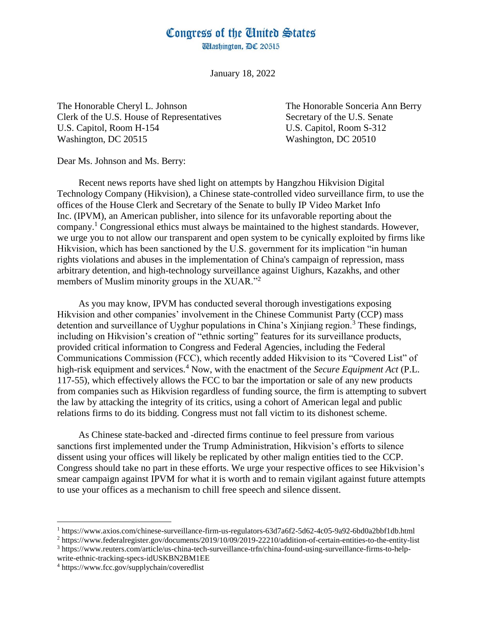## Congress of the United States

**Washington, DC 20515** 

January 18, 2022

The Honorable Cheryl L. Johnson The Honorable Sonceria Ann Berry Clerk of the U.S. House of Representatives Secretary of the U.S. Senate U.S. Capitol, Room H-154 U.S. Capitol, Room S-312 Washington, DC 20515 Washington, DC 20510

Dear Ms. Johnson and Ms. Berry:

Recent news reports have shed light on attempts by Hangzhou Hikvision Digital Technology Company (Hikvision), a Chinese state-controlled video surveillance firm, to use the offices of the House Clerk and Secretary of the Senate to bully IP Video Market Info Inc. (IPVM), an American publisher, into silence for its unfavorable reporting about the company.<sup>1</sup> Congressional ethics must always be maintained to the highest standards. However, we urge you to not allow our transparent and open system to be cynically exploited by firms like Hikvision, which has been sanctioned by the U.S. government for its implication "in human" rights violations and abuses in the implementation of China's campaign of repression, mass arbitrary detention, and high-technology surveillance against Uighurs, Kazakhs, and other members of Muslim minority groups in the XUAR."<sup>2</sup>

As you may know, IPVM has conducted several thorough investigations exposing Hikvision and other companies' involvement in the Chinese Communist Party (CCP) mass detention and surveillance of Uyghur populations in China's Xinjiang region.<sup>3</sup> These findings, including on Hikvision's creation of "ethnic sorting" features for its surveillance products, provided critical information to Congress and Federal Agencies, including the Federal Communications Commission (FCC), which recently added Hikvision to its "Covered List" of high-risk equipment and services.<sup>4</sup> Now, with the enactment of the *Secure Equipment Act* (P.L. 117-55), which effectively allows the FCC to bar the importation or sale of any new products from companies such as Hikvision regardless of funding source, the firm is attempting to subvert the law by attacking the integrity of its critics, using a cohort of American legal and public relations firms to do its bidding. Congress must not fall victim to its dishonest scheme.

As Chinese state-backed and -directed firms continue to feel pressure from various sanctions first implemented under the Trump Administration, Hikvision's efforts to silence dissent using your offices will likely be replicated by other malign entities tied to the CCP. Congress should take no part in these efforts. We urge your respective offices to see Hikvision's smear campaign against IPVM for what it is worth and to remain vigilant against future attempts to use your offices as a mechanism to chill free speech and silence dissent.

<sup>2</sup> https://www.federalregister.gov/documents/2019/10/09/2019-22210/addition-of-certain-entities-to-the-entity-list

<sup>3</sup> https://www.reuters.com/article/us-china-tech-surveillance-trfn/china-found-using-surveillance-firms-to-helpwrite-ethnic-tracking-specs-idUSKBN2BM1EE

l

<sup>1</sup> https://www.axios.com/chinese-surveillance-firm-us-regulators-63d7a6f2-5d62-4c05-9a92-6bd0a2bbf1db.html

<sup>4</sup> https://www.fcc.gov/supplychain/coveredlist